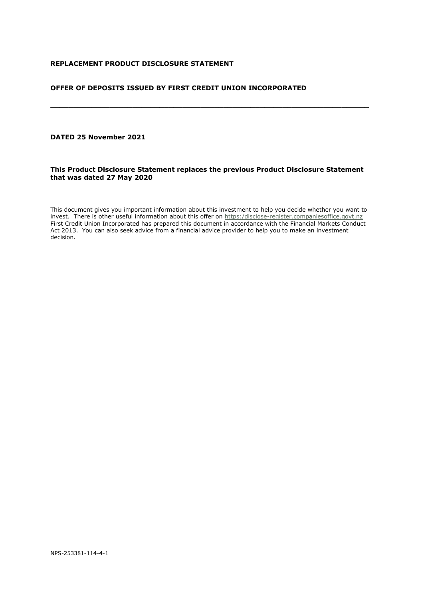## **REPLACEMENT PRODUCT DISCLOSURE STATEMENT**

## **OFFER OF DEPOSITS ISSUED BY FIRST CREDIT UNION INCORPORATED**

# **DATED 25 November 2021**

## **This Product Disclosure Statement replaces the previous Product Disclosure Statement that was dated 27 May 2020**

**\_\_\_\_\_\_\_\_\_\_\_\_\_\_\_\_\_\_\_\_\_\_\_\_\_\_\_\_\_\_\_\_\_\_\_\_\_\_\_\_\_\_\_\_\_\_\_\_\_\_\_\_\_\_\_\_\_\_\_\_\_\_\_\_\_\_\_\_\_\_**

This document gives you important information about this investment to help you decide whether you want to invest. There is other useful information about this offer on [https:/disclose-register.companiesoffice.govt.nz](http://www.companiesoffice.govt.nz/disclose) First Credit Union Incorporated has prepared this document in accordance with the Financial Markets Conduct Act 2013. You can also seek advice from a financial advice provider to help you to make an investment decision.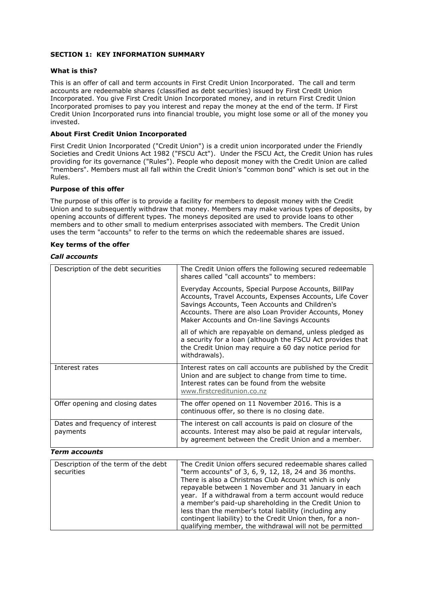## <span id="page-1-0"></span>**SECTION 1: KEY INFORMATION SUMMARY**

## **What is this?**

This is an offer of call and term accounts in First Credit Union Incorporated. The call and term accounts are redeemable shares (classified as debt securities) issued by First Credit Union Incorporated. You give First Credit Union Incorporated money, and in return First Credit Union Incorporated promises to pay you interest and repay the money at the end of the term. If First Credit Union Incorporated runs into financial trouble, you might lose some or all of the money you invested.

## **About First Credit Union Incorporated**

First Credit Union Incorporated ("Credit Union") is a credit union incorporated under the Friendly Societies and Credit Unions Act 1982 ("FSCU Act"). Under the FSCU Act, the Credit Union has rules providing for its governance ("Rules"). People who deposit money with the Credit Union are called "members". Members must all fall within the Credit Union's "common bond" which is set out in the Rules.

## **Purpose of this offer**

The purpose of this offer is to provide a facility for members to deposit money with the Credit Union and to subsequently withdraw that money. Members may make various types of deposits, by opening accounts of different types. The moneys deposited are used to provide loans to other members and to other small to medium enterprises associated with members. The Credit Union uses the term "accounts" to refer to the terms on which the redeemable shares are issued.

## **Key terms of the offer**

## *Call accounts*

| Description of the debt securities          | The Credit Union offers the following secured redeemable                                                                                                                                                                                                                    |
|---------------------------------------------|-----------------------------------------------------------------------------------------------------------------------------------------------------------------------------------------------------------------------------------------------------------------------------|
|                                             | shares called "call accounts" to members:                                                                                                                                                                                                                                   |
|                                             | Everyday Accounts, Special Purpose Accounts, BillPay<br>Accounts, Travel Accounts, Expenses Accounts, Life Cover<br>Savings Accounts, Teen Accounts and Children's<br>Accounts. There are also Loan Provider Accounts, Money<br>Maker Accounts and On-line Savings Accounts |
|                                             | all of which are repayable on demand, unless pledged as<br>a security for a loan (although the FSCU Act provides that<br>the Credit Union may require a 60 day notice period for<br>withdrawals).                                                                           |
| Interest rates                              | Interest rates on call accounts are published by the Credit<br>Union and are subject to change from time to time.<br>Interest rates can be found from the website<br>www.firstcreditunion.co.nz                                                                             |
| Offer opening and closing dates             | The offer opened on 11 November 2016. This is a<br>continuous offer, so there is no closing date.                                                                                                                                                                           |
| Dates and frequency of interest<br>payments | The interest on call accounts is paid on closure of the<br>accounts. Interest may also be paid at regular intervals,<br>by agreement between the Credit Union and a member.                                                                                                 |

### *Term accounts*

| Description of the term of the debt<br>securities | The Credit Union offers secured redeemable shares called<br>"term accounts" of 3, 6, 9, 12, 18, 24 and 36 months.<br>There is also a Christmas Club Account which is only<br>repayable between 1 November and 31 January in each<br>year. If a withdrawal from a term account would reduce<br>a member's paid-up shareholding in the Credit Union to<br>less than the member's total liability (including any<br>contingent liability) to the Credit Union then, for a non-<br>qualifying member, the withdrawal will not be permitted |
|---------------------------------------------------|----------------------------------------------------------------------------------------------------------------------------------------------------------------------------------------------------------------------------------------------------------------------------------------------------------------------------------------------------------------------------------------------------------------------------------------------------------------------------------------------------------------------------------------|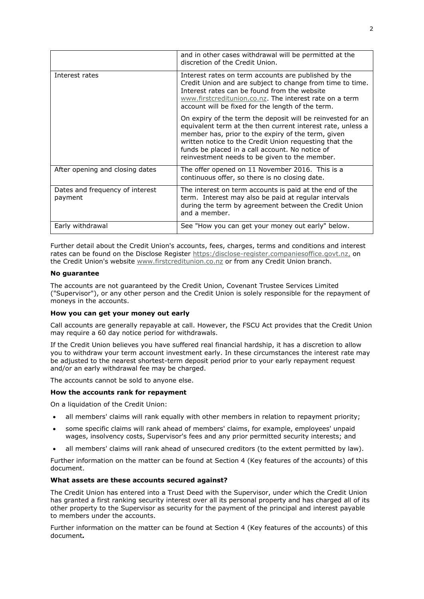|                                            | and in other cases withdrawal will be permitted at the<br>discretion of the Credit Union.                                                                                                                                                                                                                                                      |
|--------------------------------------------|------------------------------------------------------------------------------------------------------------------------------------------------------------------------------------------------------------------------------------------------------------------------------------------------------------------------------------------------|
| Interest rates                             | Interest rates on term accounts are published by the<br>Credit Union and are subject to change from time to time.<br>Interest rates can be found from the website<br>www.firstcreditunion.co.nz. The interest rate on a term<br>account will be fixed for the length of the term.                                                              |
|                                            | On expiry of the term the deposit will be reinvested for an<br>equivalent term at the then current interest rate, unless a<br>member has, prior to the expiry of the term, given<br>written notice to the Credit Union requesting that the<br>funds be placed in a call account. No notice of<br>reinvestment needs to be given to the member. |
| After opening and closing dates            | The offer opened on 11 November 2016. This is a<br>continuous offer, so there is no closing date.                                                                                                                                                                                                                                              |
| Dates and frequency of interest<br>payment | The interest on term accounts is paid at the end of the<br>term. Interest may also be paid at regular intervals<br>during the term by agreement between the Credit Union<br>and a member.                                                                                                                                                      |
| Early withdrawal                           | See "How you can get your money out early" below.                                                                                                                                                                                                                                                                                              |

Further detail about the Credit Union's accounts, fees, charges, terms and conditions and interest rates can be found on the Disclose Register [https:/disclose-register.companiesoffice.govt.nz,](http://www.companiesoffice.govt.nz/disclose) on the Credit Union's website [www.firstcreditunion.co.nz](http://www.firstcreditunion.co.nz/) or from any Credit Union branch.

## **No guarantee**

The accounts are not guaranteed by the Credit Union, Covenant Trustee Services Limited ("Supervisor"), or any other person and the Credit Union is solely responsible for the repayment of moneys in the accounts.

## **How you can get your money out early**

Call accounts are generally repayable at call. However, the FSCU Act provides that the Credit Union may require a 60 day notice period for withdrawals.

If the Credit Union believes you have suffered real financial hardship, it has a discretion to allow you to withdraw your term account investment early. In these circumstances the interest rate may be adjusted to the nearest shortest-term deposit period prior to your early repayment request and/or an early withdrawal fee may be charged.

The accounts cannot be sold to anyone else.

### **How the accounts rank for repayment**

On a liquidation of the Credit Union:

- all members' claims will rank equally with other members in relation to repayment priority;
- some specific claims will rank ahead of members' claims, for example, employees' unpaid wages, insolvency costs, Supervisor's fees and any prior permitted security interests; and
- all members' claims will rank ahead of unsecured creditors (to the extent permitted by law).

Further information on the matter can be found at Section 4 (Key features of the accounts) of this document.

### **What assets are these accounts secured against?**

The Credit Union has entered into a Trust Deed with the Supervisor, under which the Credit Union has granted a first ranking security interest over all its personal property and has charged all of its other property to the Supervisor as security for the payment of the principal and interest payable to members under the accounts.

Further information on the matter can be found at Section 4 (Key features of the accounts) of this document*.*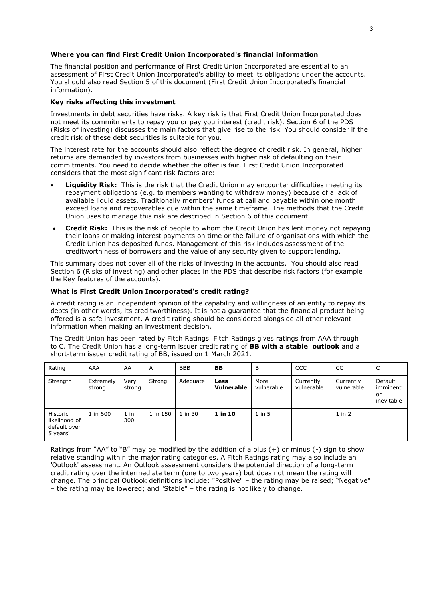## **Where you can find First Credit Union Incorporated's financial information**

The financial position and performance of First Credit Union Incorporated are essential to an assessment of First Credit Union Incorporated's ability to meet its obligations under the accounts. You should also read Section 5 of this document (First Credit Union Incorporated's financial information).

## **Key risks affecting this investment**

Investments in debt securities have risks. A key risk is that First Credit Union Incorporated does not meet its commitments to repay you or pay you interest (credit risk). Section 6 of the PDS (Risks of investing) discusses the main factors that give rise to the risk. You should consider if the credit risk of these debt securities is suitable for you.

The interest rate for the accounts should also reflect the degree of credit risk. In general, higher returns are demanded by investors from businesses with higher risk of defaulting on their commitments. You need to decide whether the offer is fair. First Credit Union Incorporated considers that the most significant risk factors are:

- **Liquidity Risk:** This is the risk that the Credit Union may encounter difficulties meeting its repayment obligations (e.g. to members wanting to withdraw money) because of a lack of available liquid assets. Traditionally members' funds at call and payable within one month exceed loans and recoverables due within the same timeframe. The methods that the Credit Union uses to manage this risk are described in Section 6 of this document.
- **Credit Risk:** This is the risk of people to whom the Credit Union has lent money not repaying their loans or making interest payments on time or the failure of organisations with which the Credit Union has deposited funds. Management of this risk includes assessment of the creditworthiness of borrowers and the value of any security given to support lending.

This summary does not cover all of the risks of investing in the accounts. You should also read Section 6 (Risks of investing) and other places in the PDS that describe risk factors (for example the Key features of the accounts).

## **What is First Credit Union Incorporated's credit rating?**

A credit rating is an independent opinion of the capability and willingness of an entity to repay its debts (in other words, its creditworthiness). It is not a guarantee that the financial product being offered is a safe investment. A credit rating should be considered alongside all other relevant information when making an investment decision.

The Credit Union has been rated by Fitch Ratings. Fitch Ratings gives ratings from AAA through to C. The Credit Union has a long-term issuer credit rating of **BB with a stable outlook** and a short-term issuer credit rating of BB, issued on 1 March 2021.

| Rating                                                | AAA                 | AA             | A        | <b>BBB</b> | BB                 | B                  | CCC                     | CC                      | C                                       |
|-------------------------------------------------------|---------------------|----------------|----------|------------|--------------------|--------------------|-------------------------|-------------------------|-----------------------------------------|
| Strength                                              | Extremely<br>strong | Very<br>strong | Strong   | Adequate   | Less<br>Vulnerable | More<br>vulnerable | Currently<br>vulnerable | Currently<br>vulnerable | Default<br>imminent<br>or<br>inevitable |
| Historic<br>likelihood of<br>default over<br>5 years' | 1 in 600            | $1$ in<br>300  | 1 in 150 | 1 in 30    | 1 in 10            | $1$ in $5$         |                         | $1$ in $2$              |                                         |

Ratings from "AA" to "B" may be modified by the addition of a plus (+) or minus (-) sign to show relative standing within the major rating categories. A Fitch Ratings rating may also include an 'Outlook' assessment. An Outlook assessment considers the potential direction of a long-term credit rating over the intermediate term (one to two years) but does not mean the rating will change. The principal Outlook definitions include: "Positive" – the rating may be raised; "Negative" – the rating may be lowered; and "Stable" – the rating is not likely to change.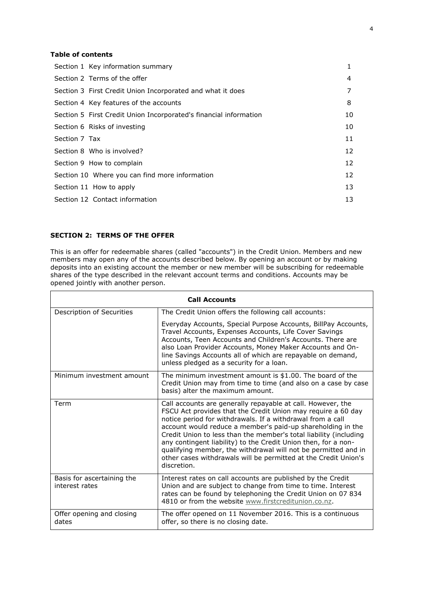# **Table of contents**

| Section 1 Key information summary                                 | 1  |
|-------------------------------------------------------------------|----|
| Section 2 Terms of the offer                                      | 4  |
| Section 3 First Credit Union Incorporated and what it does        | 7  |
| Section 4 Key features of the accounts                            | 8  |
| Section 5 First Credit Union Incorporated's financial information | 10 |
| Section 6 Risks of investing                                      | 10 |
| Section 7 Tax                                                     | 11 |
| Section 8 Who is involved?                                        | 12 |
| Section 9 How to complain                                         | 12 |
| Section 10 Where you can find more information                    | 12 |
| Section 11 How to apply                                           | 13 |
| Section 12 Contact information                                    | 13 |
|                                                                   |    |

## <span id="page-4-0"></span>**SECTION 2: TERMS OF THE OFFER**

This is an offer for redeemable shares (called "accounts") in the Credit Union. Members and new members may open any of the accounts described below. By opening an account or by making deposits into an existing account the member or new member will be subscribing for redeemable shares of the type described in the relevant account terms and conditions. Accounts may be opened jointly with another person.

| <b>Call Accounts</b>                         |                                                                                                                                                                                                                                                                                                                                                                                                                                                                                                                                                     |  |  |
|----------------------------------------------|-----------------------------------------------------------------------------------------------------------------------------------------------------------------------------------------------------------------------------------------------------------------------------------------------------------------------------------------------------------------------------------------------------------------------------------------------------------------------------------------------------------------------------------------------------|--|--|
| Description of Securities                    | The Credit Union offers the following call accounts:                                                                                                                                                                                                                                                                                                                                                                                                                                                                                                |  |  |
|                                              | Everyday Accounts, Special Purpose Accounts, BillPay Accounts,<br>Travel Accounts, Expenses Accounts, Life Cover Savings<br>Accounts, Teen Accounts and Children's Accounts. There are<br>also Loan Provider Accounts, Money Maker Accounts and On-<br>line Savings Accounts all of which are repayable on demand,<br>unless pledged as a security for a loan.                                                                                                                                                                                      |  |  |
| Minimum investment amount                    | The minimum investment amount is \$1.00. The board of the<br>Credit Union may from time to time (and also on a case by case<br>basis) alter the maximum amount.                                                                                                                                                                                                                                                                                                                                                                                     |  |  |
| Term                                         | Call accounts are generally repayable at call. However, the<br>FSCU Act provides that the Credit Union may require a 60 day<br>notice period for withdrawals. If a withdrawal from a call<br>account would reduce a member's paid-up shareholding in the<br>Credit Union to less than the member's total liability (including<br>any contingent liability) to the Credit Union then, for a non-<br>qualifying member, the withdrawal will not be permitted and in<br>other cases withdrawals will be permitted at the Credit Union's<br>discretion. |  |  |
| Basis for ascertaining the<br>interest rates | Interest rates on call accounts are published by the Credit<br>Union and are subject to change from time to time. Interest<br>rates can be found by telephoning the Credit Union on 07 834<br>4810 or from the website www.firstcreditunion.co.nz.                                                                                                                                                                                                                                                                                                  |  |  |
| Offer opening and closing<br>dates           | The offer opened on 11 November 2016. This is a continuous<br>offer, so there is no closing date.                                                                                                                                                                                                                                                                                                                                                                                                                                                   |  |  |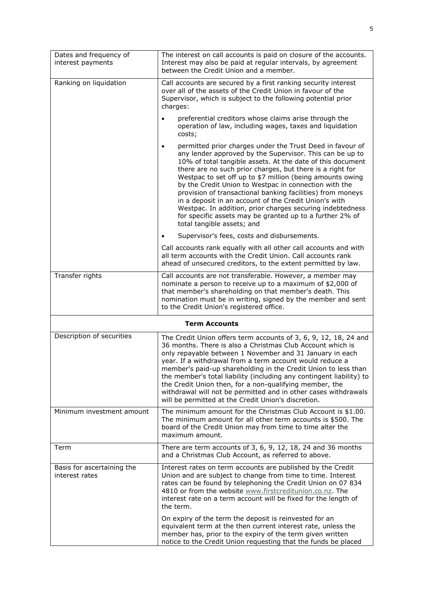| Dates and frequency of<br>interest payments  | The interest on call accounts is paid on closure of the accounts.<br>Interest may also be paid at regular intervals, by agreement<br>between the Credit Union and a member.                                                                                                                                                                                                                                                                                                                                                                                                                                                                                       |
|----------------------------------------------|-------------------------------------------------------------------------------------------------------------------------------------------------------------------------------------------------------------------------------------------------------------------------------------------------------------------------------------------------------------------------------------------------------------------------------------------------------------------------------------------------------------------------------------------------------------------------------------------------------------------------------------------------------------------|
| Ranking on liquidation                       | Call accounts are secured by a first ranking security interest<br>over all of the assets of the Credit Union in favour of the<br>Supervisor, which is subject to the following potential prior<br>charges:                                                                                                                                                                                                                                                                                                                                                                                                                                                        |
|                                              | preferential creditors whose claims arise through the<br>operation of law, including wages, taxes and liquidation<br>costs;                                                                                                                                                                                                                                                                                                                                                                                                                                                                                                                                       |
|                                              | permitted prior charges under the Trust Deed in favour of<br>$\bullet$<br>any lender approved by the Supervisor. This can be up to<br>10% of total tangible assets. At the date of this document<br>there are no such prior charges, but there is a right for<br>Westpac to set off up to \$7 million (being amounts owing<br>by the Credit Union to Westpac in connection with the<br>provision of transactional banking facilities) from moneys<br>in a deposit in an account of the Credit Union's with<br>Westpac. In addition, prior charges securing indebtedness<br>for specific assets may be granted up to a further 2% of<br>total tangible assets; and |
|                                              | Supervisor's fees, costs and disbursements.                                                                                                                                                                                                                                                                                                                                                                                                                                                                                                                                                                                                                       |
|                                              | Call accounts rank equally with all other call accounts and with<br>all term accounts with the Credit Union. Call accounts rank<br>ahead of unsecured creditors, to the extent permitted by law.                                                                                                                                                                                                                                                                                                                                                                                                                                                                  |
| Transfer rights                              | Call accounts are not transferable. However, a member may<br>nominate a person to receive up to a maximum of \$2,000 of<br>that member's shareholding on that member's death. This<br>nomination must be in writing, signed by the member and sent<br>to the Credit Union's registered office.                                                                                                                                                                                                                                                                                                                                                                    |
|                                              | <b>Term Accounts</b>                                                                                                                                                                                                                                                                                                                                                                                                                                                                                                                                                                                                                                              |
| Description of securities                    | The Credit Union offers term accounts of 3, 6, 9, 12, 18, 24 and<br>36 months. There is also a Christmas Club Account which is<br>only repayable between 1 November and 31 January in each<br>year. If a withdrawal from a term account would reduce a<br>member's paid-up shareholding in the Credit Union to less than<br>the member's total liability (including any contingent liability) to<br>the Credit Union then, for a non-qualifying member, the<br>withdrawal will not be permitted and in other cases withdrawals<br>will be permitted at the Credit Union's discretion.                                                                             |
| Minimum investment amount                    | The minimum amount for the Christmas Club Account is \$1.00.<br>The minimum amount for all other term accounts is \$500. The<br>board of the Credit Union may from time to time alter the<br>maximum amount.                                                                                                                                                                                                                                                                                                                                                                                                                                                      |
| Term                                         | There are term accounts of 3, 6, 9, 12, 18, 24 and 36 months<br>and a Christmas Club Account, as referred to above.                                                                                                                                                                                                                                                                                                                                                                                                                                                                                                                                               |
| Basis for ascertaining the<br>interest rates | Interest rates on term accounts are published by the Credit<br>Union and are subject to change from time to time. Interest<br>rates can be found by telephoning the Credit Union on 07 834<br>4810 or from the website www.firstcreditunion.co.nz. The<br>interest rate on a term account will be fixed for the length of<br>the term.                                                                                                                                                                                                                                                                                                                            |
|                                              | On expiry of the term the deposit is reinvested for an<br>equivalent term at the then current interest rate, unless the<br>member has, prior to the expiry of the term given written<br>notice to the Credit Union requesting that the funds be placed                                                                                                                                                                                                                                                                                                                                                                                                            |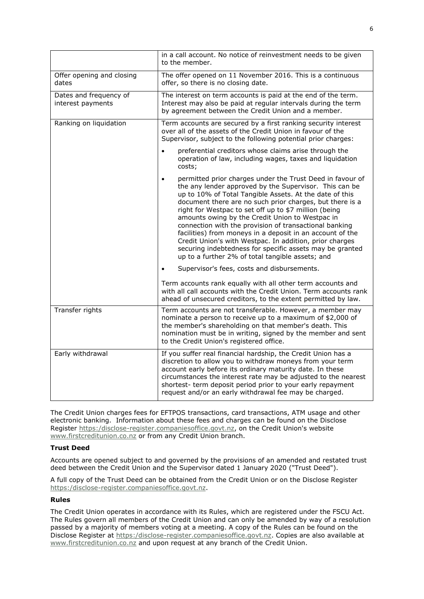|                                             | in a call account. No notice of reinvestment needs to be given<br>to the member.                                                                                                                                                                                                                                                                                                                                                                                                                                                                                                                                                                                      |  |  |
|---------------------------------------------|-----------------------------------------------------------------------------------------------------------------------------------------------------------------------------------------------------------------------------------------------------------------------------------------------------------------------------------------------------------------------------------------------------------------------------------------------------------------------------------------------------------------------------------------------------------------------------------------------------------------------------------------------------------------------|--|--|
| Offer opening and closing<br>dates          | The offer opened on 11 November 2016. This is a continuous<br>offer, so there is no closing date.                                                                                                                                                                                                                                                                                                                                                                                                                                                                                                                                                                     |  |  |
| Dates and frequency of<br>interest payments | The interest on term accounts is paid at the end of the term.<br>Interest may also be paid at regular intervals during the term<br>by agreement between the Credit Union and a member.                                                                                                                                                                                                                                                                                                                                                                                                                                                                                |  |  |
| Ranking on liquidation                      | Term accounts are secured by a first ranking security interest<br>over all of the assets of the Credit Union in favour of the<br>Supervisor, subject to the following potential prior charges:                                                                                                                                                                                                                                                                                                                                                                                                                                                                        |  |  |
|                                             | preferential creditors whose claims arise through the<br>$\bullet$<br>operation of law, including wages, taxes and liquidation<br>costs;                                                                                                                                                                                                                                                                                                                                                                                                                                                                                                                              |  |  |
|                                             | permitted prior charges under the Trust Deed in favour of<br>$\bullet$<br>the any lender approved by the Supervisor. This can be<br>up to 10% of Total Tangible Assets. At the date of this<br>document there are no such prior charges, but there is a<br>right for Westpac to set off up to \$7 million (being<br>amounts owing by the Credit Union to Westpac in<br>connection with the provision of transactional banking<br>facilities) from moneys in a deposit in an account of the<br>Credit Union's with Westpac. In addition, prior charges<br>securing indebtedness for specific assets may be granted<br>up to a further 2% of total tangible assets; and |  |  |
|                                             | Supervisor's fees, costs and disbursements.                                                                                                                                                                                                                                                                                                                                                                                                                                                                                                                                                                                                                           |  |  |
|                                             | Term accounts rank equally with all other term accounts and<br>with all call accounts with the Credit Union. Term accounts rank<br>ahead of unsecured creditors, to the extent permitted by law.                                                                                                                                                                                                                                                                                                                                                                                                                                                                      |  |  |
| Transfer rights                             | Term accounts are not transferable. However, a member may<br>nominate a person to receive up to a maximum of \$2,000 of<br>the member's shareholding on that member's death. This<br>nomination must be in writing, signed by the member and sent<br>to the Credit Union's registered office.                                                                                                                                                                                                                                                                                                                                                                         |  |  |
| Early withdrawal                            | If you suffer real financial hardship, the Credit Union has a<br>discretion to allow you to withdraw moneys from your term<br>account early before its ordinary maturity date. In these<br>circumstances the interest rate may be adjusted to the nearest<br>shortest- term deposit period prior to your early repayment<br>request and/or an early withdrawal fee may be charged.                                                                                                                                                                                                                                                                                    |  |  |

The Credit Union charges fees for EFTPOS transactions, card transactions, ATM usage and other electronic banking. Information about these fees and charges can be found on the Disclose Register [https:/disclose-register.companiesoffice.govt.nz,](http://www.companiesoffice.govt.nz/disclose) on the Credit Union's website [www.firstcreditunion.co.nz](http://www.firstcreditunion.co.nz/) or from any Credit Union branch.

## **Trust Deed**

Accounts are opened subject to and governed by the provisions of an amended and restated trust deed between the Credit Union and the Supervisor dated 1 January 2020 ("Trust Deed").

A full copy of the Trust Deed can be obtained from the Credit Union or on the Disclose Register [https:/disclose-register.companiesoffice.govt.nz.](http://www.companiesoffice.govt.nz/disclose)

## **Rules**

The Credit Union operates in accordance with its Rules, which are registered under the FSCU Act. The Rules govern all members of the Credit Union and can only be amended by way of a resolution passed by a majority of members voting at a meeting. A copy of the Rules can be found on the Disclose Register at [https:/disclose-register.companiesoffice.govt.nz.](http://www.companiesoffice.govt.nz/disclose) Copies are also available at [www.firstcreditunion.co.nz](http://www.firstcreditunion.co.nz/) and upon request at any branch of the Credit Union.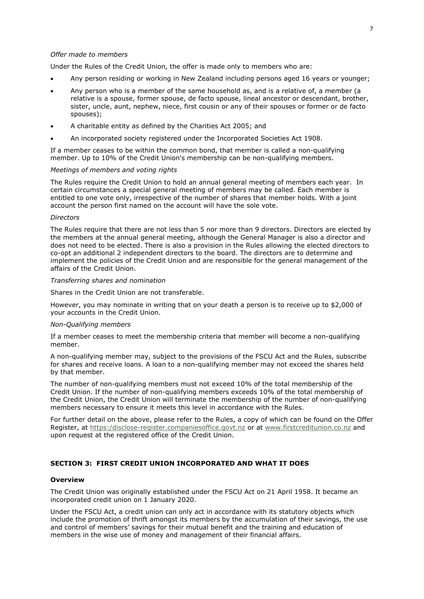### *Offer made to members*

Under the Rules of the Credit Union, the offer is made only to members who are:

- Any person residing or working in New Zealand including persons aged 16 years or younger;
- Any person who is a member of the same household as, and is a relative of, a member (a relative is a spouse, former spouse, de facto spouse, lineal ancestor or descendant, brother, sister, uncle, aunt, nephew, niece, first cousin or any of their spouses or former or de facto spouses);
- A charitable entity as defined by the Charities Act 2005; and
- An incorporated society registered under the Incorporated Societies Act 1908.

If a member ceases to be within the common bond, that member is called a non-qualifying member. Up to 10% of the Credit Union's membership can be non-qualifying members.

### *Meetings of members and voting rights*

The Rules require the Credit Union to hold an annual general meeting of members each year. In certain circumstances a special general meeting of members may be called. Each member is entitled to one vote only, irrespective of the number of shares that member holds. With a joint account the person first named on the account will have the sole vote.

#### *Directors*

The Rules require that there are not less than 5 nor more than 9 directors. Directors are elected by the members at the annual general meeting, although the General Manager is also a director and does not need to be elected. There is also a provision in the Rules allowing the elected directors to co-opt an additional 2 independent directors to the board. The directors are to determine and implement the policies of the Credit Union and are responsible for the general management of the affairs of the Credit Union.

#### *Transferring shares and nomination*

Shares in the Credit Union are not transferable.

However, you may nominate in writing that on your death a person is to receive up to \$2,000 of your accounts in the Credit Union.

#### *Non-Qualifying members*

If a member ceases to meet the membership criteria that member will become a non-qualifying member.

A non-qualifying member may, subject to the provisions of the FSCU Act and the Rules, subscribe for shares and receive loans. A loan to a non-qualifying member may not exceed the shares held by that member.

The number of non-qualifying members must not exceed 10% of the total membership of the Credit Union. If the number of non-qualifying members exceeds 10% of the total membership of the Credit Union, the Credit Union will terminate the membership of the number of non-qualifying members necessary to ensure it meets this level in accordance with the Rules.

For further detail on the above, please refer to the Rules, a copy of which can be found on the Offer Register, at [https:/disclose-register.companiesoffice.govt.nz](http://www.companiesoffice.govt.nz/disclose) or at [www.firstcreditunion.co.nz](http://www.firstcreditunion.co.nz/) and upon request at the registered office of the Credit Union.

### <span id="page-7-0"></span>**SECTION 3: FIRST CREDIT UNION INCORPORATED AND WHAT IT DOES**

#### **Overview**

The Credit Union was originally established under the FSCU Act on 21 April 1958. It became an incorporated credit union on 1 January 2020.

Under the FSCU Act, a credit union can only act in accordance with its statutory objects which include the promotion of thrift amongst its members by the accumulation of their savings, the use and control of members' savings for their mutual benefit and the training and education of members in the wise use of money and management of their financial affairs.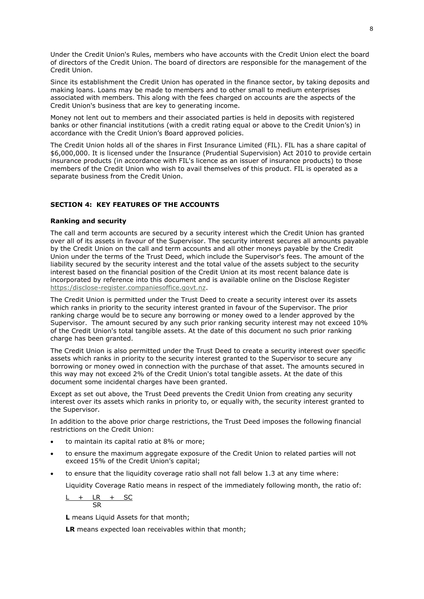Under the Credit Union's Rules, members who have accounts with the Credit Union elect the board of directors of the Credit Union. The board of directors are responsible for the management of the Credit Union.

Since its establishment the Credit Union has operated in the finance sector, by taking deposits and making loans. Loans may be made to members and to other small to medium enterprises associated with members. This along with the fees charged on accounts are the aspects of the Credit Union's business that are key to generating income.

Money not lent out to members and their associated parties is held in deposits with registered banks or other financial institutions (with a credit rating equal or above to the Credit Union's) in accordance with the Credit Union's Board approved policies.

The Credit Union holds all of the shares in First Insurance Limited (FIL). FIL has a share capital of \$6,000,000. It is licensed under the Insurance (Prudential Supervision) Act 2010 to provide certain insurance products (in accordance with FIL's licence as an issuer of insurance products) to those members of the Credit Union who wish to avail themselves of this product. FIL is operated as a separate business from the Credit Union.

## <span id="page-8-0"></span>**SECTION 4: KEY FEATURES OF THE ACCOUNTS**

### **Ranking and security**

The call and term accounts are secured by a security interest which the Credit Union has granted over all of its assets in favour of the Supervisor. The security interest secures all amounts payable by the Credit Union on the call and term accounts and all other moneys payable by the Credit Union under the terms of the Trust Deed, which include the Supervisor's fees. The amount of the liability secured by the security interest and the total value of the assets subject to the security interest based on the financial position of the Credit Union at its most recent balance date is incorporated by reference into this document and is available online on the Disclose Register [https:/disclose-register.companiesoffice.govt.nz.](https://disclose-register.companiesoffice.govt.nz/)

The Credit Union is permitted under the Trust Deed to create a security interest over its assets which ranks in priority to the security interest granted in favour of the Supervisor. The prior ranking charge would be to secure any borrowing or money owed to a lender approved by the Supervisor. The amount secured by any such prior ranking security interest may not exceed 10% of the Credit Union's total tangible assets. At the date of this document no such prior ranking charge has been granted.

The Credit Union is also permitted under the Trust Deed to create a security interest over specific assets which ranks in priority to the security interest granted to the Supervisor to secure any borrowing or money owed in connection with the purchase of that asset. The amounts secured in this way may not exceed 2% of the Credit Union's total tangible assets. At the date of this document some incidental charges have been granted.

Except as set out above, the Trust Deed prevents the Credit Union from creating any security interest over its assets which ranks in priority to, or equally with, the security interest granted to the Supervisor.

In addition to the above prior charge restrictions, the Trust Deed imposes the following financial restrictions on the Credit Union:

- to maintain its capital ratio at 8% or more;
- to ensure the maximum aggregate exposure of the Credit Union to related parties will not exceed 15% of the Credit Union's capital;
- to ensure that the liquidity coverage ratio shall not fall below 1.3 at any time where:

Liquidity Coverage Ratio means in respect of the immediately following month, the ratio of:

$$
\frac{\mathsf{L} + \mathsf{L}\mathsf{R} + \mathsf{SC}}{\mathsf{SR}}
$$

**L** means Liquid Assets for that month;

**LR** means expected loan receivables within that month;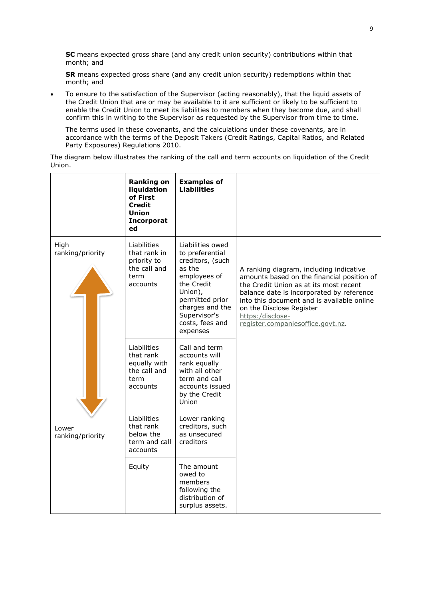**SC** means expected gross share (and any credit union security) contributions within that month; and

**SR** means expected gross share (and any credit union security) redemptions within that month; and

 To ensure to the satisfaction of the Supervisor (acting reasonably), that the liquid assets of the Credit Union that are or may be available to it are sufficient or likely to be sufficient to enable the Credit Union to meet its liabilities to members when they become due, and shall confirm this in writing to the Supervisor as requested by the Supervisor from time to time.

The terms used in these covenants, and the calculations under these covenants, are in accordance with the terms of the Deposit Takers (Credit Ratings, Capital Ratios, and Related Party Exposures) Regulations 2010.

The diagram below illustrates the ranking of the call and term accounts on liquidation of the Credit Union.

|                           | <b>Ranking on</b><br>liquidation<br>of First<br><b>Credit</b><br><b>Union</b><br>Incorporat<br>ed | <b>Examples of</b><br><b>Liabilities</b>                                                                                                                                                        |                                                                                                                                                                                                                                                                                                                 |
|---------------------------|---------------------------------------------------------------------------------------------------|-------------------------------------------------------------------------------------------------------------------------------------------------------------------------------------------------|-----------------------------------------------------------------------------------------------------------------------------------------------------------------------------------------------------------------------------------------------------------------------------------------------------------------|
| High<br>ranking/priority  | Liabilities<br>that rank in<br>priority to<br>the call and<br>term<br>accounts                    | Liabilities owed<br>to preferential<br>creditors, (such<br>as the<br>employees of<br>the Credit<br>Union),<br>permitted prior<br>charges and the<br>Supervisor's<br>costs, fees and<br>expenses | A ranking diagram, including indicative<br>amounts based on the financial position of<br>the Credit Union as at its most recent<br>balance date is incorporated by reference<br>into this document and is available online<br>on the Disclose Register<br>https:/disclose-<br>register.companiesoffice.govt.nz. |
|                           | Liabilities<br>that rank<br>equally with<br>the call and<br>term<br>accounts                      | Call and term<br>accounts will<br>rank equally<br>with all other<br>term and call<br>accounts issued<br>by the Credit<br>Union                                                                  |                                                                                                                                                                                                                                                                                                                 |
| Lower<br>ranking/priority | Liabilities<br>that rank<br>below the<br>term and call<br>accounts                                | Lower ranking<br>creditors, such<br>as unsecured<br>creditors                                                                                                                                   |                                                                                                                                                                                                                                                                                                                 |
|                           | Equity                                                                                            | The amount<br>owed to<br>members<br>following the<br>distribution of<br>surplus assets.                                                                                                         |                                                                                                                                                                                                                                                                                                                 |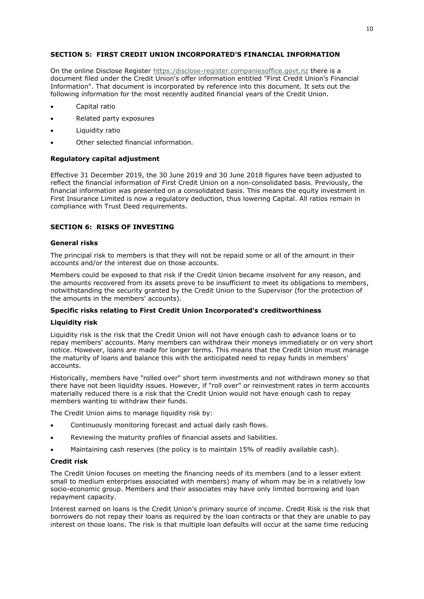## <span id="page-10-0"></span>**SECTION 5: FIRST CREDIT UNION INCORPORATED'S FINANCIAL INFORMATION**

On the online Disclose Register [https:/disclose-register.companiesoffice.govt.nz](https://disclose-register.companiesoffice.govt.nz/) there is a document filed under the Credit Union's offer information entitled "First Credit Union's Financial Information". That document is incorporated by reference into this document. It sets out the following information for the most recently audited financial years of the Credit Union.

- Capital ratio
- Related party exposures
- Liquidity ratio
- Other selected financial information.

## **Regulatory capital adjustment**

Effective 31 December 2019, the 30 June 2019 and 30 June 2018 figures have been adjusted to reflect the financial information of First Credit Union on a non-consolidated basis. Previously, the financial information was presented on a consolidated basis. This means the equity investment in First Insurance Limited is now a regulatory deduction, thus lowering Capital. All ratios remain in compliance with Trust Deed requirements.

## <span id="page-10-1"></span>**SECTION 6: RISKS OF INVESTING**

## **General risks**

The principal risk to members is that they will not be repaid some or all of the amount in their accounts and/or the interest due on those accounts.

Members could be exposed to that risk if the Credit Union became insolvent for any reason, and the amounts recovered from its assets prove to be insufficient to meet its obligations to members, notwithstanding the security granted by the Credit Union to the Supervisor (for the protection of the amounts in the members' accounts).

## **Specific risks relating to First Credit Union Incorporated's creditworthiness**

## **Liquidity risk**

Liquidity risk is the risk that the Credit Union will not have enough cash to advance loans or to repay members' accounts. Many members can withdraw their moneys immediately or on very short notice. However, loans are made for longer terms. This means that the Credit Union must manage the maturity of loans and balance this with the anticipated need to repay funds in members' accounts.

Historically, members have "rolled over" short term investments and not withdrawn money so that there have not been liquidity issues. However, if "roll over" or reinvestment rates in term accounts materially reduced there is a risk that the Credit Union would not have enough cash to repay members wanting to withdraw their funds.

The Credit Union aims to manage liquidity risk by:

- Continuously monitoring forecast and actual daily cash flows.
- Reviewing the maturity profiles of financial assets and liabilities.
- Maintaining cash reserves (the policy is to maintain 15% of readily available cash).

### **Credit risk**

The Credit Union focuses on meeting the financing needs of its members (and to a lesser extent small to medium enterprises associated with members) many of whom may be in a relatively low socio-economic group. Members and their associates may have only limited borrowing and loan repayment capacity.

Interest earned on loans is the Credit Union's primary source of income. Credit Risk is the risk that borrowers do not repay their loans as required by the loan contracts or that they are unable to pay interest on those loans. The risk is that multiple loan defaults will occur at the same time reducing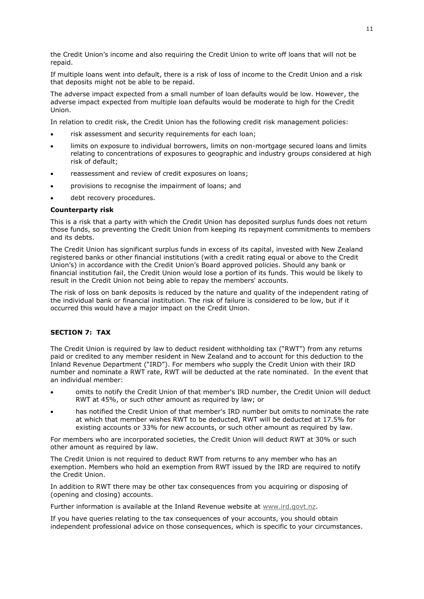the Credit Union's income and also requiring the Credit Union to write off loans that will not be repaid.

If multiple loans went into default, there is a risk of loss of income to the Credit Union and a risk that deposits might not be able to be repaid.

The adverse impact expected from a small number of loan defaults would be low. However, the adverse impact expected from multiple loan defaults would be moderate to high for the Credit Union.

In relation to credit risk, the Credit Union has the following credit risk management policies:

- risk assessment and security requirements for each loan;
- limits on exposure to individual borrowers, limits on non-mortgage secured loans and limits relating to concentrations of exposures to geographic and industry groups considered at high risk of default;
- reassessment and review of credit exposures on loans;
- provisions to recognise the impairment of loans; and
- debt recovery procedures.

### **Counterparty risk**

This is a risk that a party with which the Credit Union has deposited surplus funds does not return those funds, so preventing the Credit Union from keeping its repayment commitments to members and its debts.

The Credit Union has significant surplus funds in excess of its capital, invested with New Zealand registered banks or other financial institutions (with a credit rating equal or above to the Credit Union's) in accordance with the Credit Union's Board approved policies. Should any bank or financial institution fail, the Credit Union would lose a portion of its funds. This would be likely to result in the Credit Union not being able to repay the members' accounts.

The risk of loss on bank deposits is reduced by the nature and quality of the independent rating of the individual bank or financial institution. The risk of failure is considered to be low, but if it occurred this would have a major impact on the Credit Union.

# <span id="page-11-0"></span>**SECTION 7: TAX**

The Credit Union is required by law to deduct resident withholding tax ("RWT") from any returns paid or credited to any member resident in New Zealand and to account for this deduction to the Inland Revenue Department ("IRD"). For members who supply the Credit Union with their IRD number and nominate a RWT rate, RWT will be deducted at the rate nominated. In the event that an individual member:

- omits to notify the Credit Union of that member's IRD number, the Credit Union will deduct RWT at 45%, or such other amount as required by law; or
- has notified the Credit Union of that member's IRD number but omits to nominate the rate at which that member wishes RWT to be deducted, RWT will be deducted at 17.5% for existing accounts or 33% for new accounts, or such other amount as required by law.

For members who are incorporated societies, the Credit Union will deduct RWT at 30% or such other amount as required by law.

The Credit Union is not required to deduct RWT from returns to any member who has an exemption. Members who hold an exemption from RWT issued by the IRD are required to notify the Credit Union.

In addition to RWT there may be other tax consequences from you acquiring or disposing of (opening and closing) accounts.

Further information is available at the Inland Revenue website at [www.ird.govt.nz.](http://www.ird.govt.nz/)

If you have queries relating to the tax consequences of your accounts, you should obtain independent professional advice on those consequences, which is specific to your circumstances.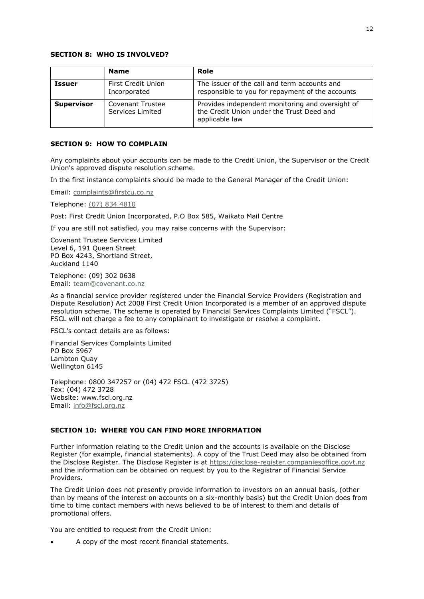### <span id="page-12-0"></span>**SECTION 8: WHO IS INVOLVED?**

|                   | <b>Name</b>                          | Role                                                                                                            |
|-------------------|--------------------------------------|-----------------------------------------------------------------------------------------------------------------|
| <b>Issuer</b>     | First Credit Union<br>Incorporated   | The issuer of the call and term accounts and<br>responsible to you for repayment of the accounts                |
| <b>Supervisor</b> | Covenant Trustee<br>Services Limited | Provides independent monitoring and oversight of<br>the Credit Union under the Trust Deed and<br>applicable law |

## <span id="page-12-1"></span>**SECTION 9: HOW TO COMPLAIN**

Any complaints about your accounts can be made to the Credit Union, the Supervisor or the Credit Union's approved dispute resolution scheme.

In the first instance complaints should be made to the General Manager of the Credit Union:

Email: [complaints@firstcu.co.nz](mailto:complaints@firstcu.co.nz)

Telephone: (07) 834 4810

Post: First Credit Union Incorporated, P.O Box 585, Waikato Mail Centre

If you are still not satisfied, you may raise concerns with the Supervisor:

Covenant Trustee Services Limited Level 6, 191 Queen Street PO Box 4243, Shortland Street, Auckland 1140

Telephone: (09) 302 0638 Email: [team@covenant.co.nz](mailto:team@covenant.co.nz)

As a financial service provider registered under the Financial Service Providers (Registration and Dispute Resolution) Act 2008 First Credit Union Incorporated is a member of an approved dispute resolution scheme. The scheme is operated by Financial Services Complaints Limited ("FSCL"). FSCL will not charge a fee to any complainant to investigate or resolve a complaint.

FSCL's contact details are as follows:

Financial Services Complaints Limited PO Box 5967 Lambton Quay Wellington 6145

Telephone: 0800 347257 or (04) 472 FSCL (472 3725) Fax: (04) 472 3728 Website: www.fscl.org.nz Email: [info@fscl.org.nz](mailto:info@fscl.org.nz)

## <span id="page-12-2"></span>**SECTION 10: WHERE YOU CAN FIND MORE INFORMATION**

Further information relating to the Credit Union and the accounts is available on the Disclose Register (for example, financial statements). A copy of the Trust Deed may also be obtained from the Disclose Register. The Disclose Register is at [https:/disclose-register.companiesoffice.govt.nz](https://disclose-register.companiesoffice.govt.nz/) and the information can be obtained on request by you to the Registrar of Financial Service Providers.

The Credit Union does not presently provide information to investors on an annual basis, (other than by means of the interest on accounts on a six-monthly basis) but the Credit Union does from time to time contact members with news believed to be of interest to them and details of promotional offers.

You are entitled to request from the Credit Union:

A copy of the most recent financial statements.